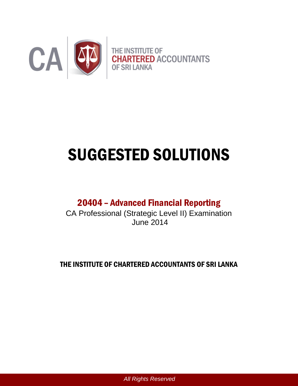

# SUGGESTED SOLUTIONS

# 20404 – Advanced Financial Reporting

CA Professional (Strategic Level II) Examination June 2014

THE INSTITUTE OF CHARTERED ACCOUNTANTS OF SRI LANKA

*All Rights Reserved*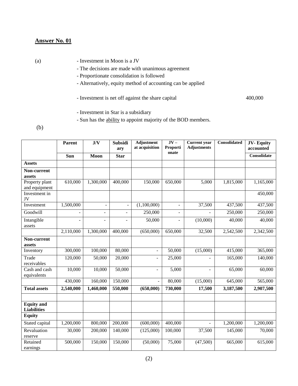- (a) Investment in Moon is a JV
	- The decisions are made with unanimous agreement
	- Proportionate consolidation is followed
	- Alternatively, equity method of accounting can be applied
	- Investment is net off against the share capital 400,000
	- Investment in Star is a subsidiary
	- Sun has the ability to appoint majority of the BOD members.

(b)

|                      | Parent    | J/V                      | <b>Subsidi</b>           | <b>Adjustment</b><br>at acquisition | $JV -$<br>Proporti       | <b>Current</b> year<br><b>Adjustments</b> | Consolidated | <b>JV-Equity</b><br>accounted |
|----------------------|-----------|--------------------------|--------------------------|-------------------------------------|--------------------------|-------------------------------------------|--------------|-------------------------------|
|                      |           |                          | arv                      |                                     | onate                    |                                           |              |                               |
|                      | Sun       | Moon                     | <b>Star</b>              |                                     |                          |                                           |              | Consolidate                   |
| <b>Assets</b>        |           |                          |                          |                                     |                          |                                           |              |                               |
| Non-current          |           |                          |                          |                                     |                          |                                           |              |                               |
| assets               |           |                          |                          |                                     |                          |                                           |              |                               |
| Property plant       | 610,000   | 1,300,000                | 400,000                  | 150,000                             | 650,000                  | 5,000                                     | 1,815,000    | 1,165,000                     |
| and equipment        |           |                          |                          |                                     |                          |                                           |              |                               |
| Investment in<br>JV  |           |                          |                          |                                     |                          |                                           |              | 450,000                       |
| Investment           | 1,500,000 | $\overline{a}$           | $\overline{\phantom{a}}$ | (1,100,000)                         | $\overline{\phantom{a}}$ | 37,500                                    | 437,500      | 437,500                       |
| Goodwill             |           | $\overline{\phantom{a}}$ | ٠                        | 250,000                             | $\overline{\phantom{a}}$ |                                           | 250,000      | 250,000                       |
| Intangible<br>assets |           |                          |                          | 50,000                              |                          | (10,000)                                  | 40,000       | 40,000                        |
|                      | 2,110,000 | 1,300,000                | 400,000                  | (650,000)                           | 650,000                  | 32,500                                    | 2,542,500    | 2,342,500                     |
| Non-current          |           |                          |                          |                                     |                          |                                           |              |                               |
| assets               |           |                          |                          |                                     |                          |                                           |              |                               |
| Inventory            | 300,000   | 100,000                  | 80,000                   | ÷                                   | 50,000                   | (15,000)                                  | 415,000      | 365,000                       |
| Trade<br>receivables | 120,000   | 50,000                   | 20,000                   | ÷                                   | 25,000                   | $\blacksquare$                            | 165,000      | 140,000                       |
| Cash and cash        | 10,000    | 10,000                   | 50,000                   | $\overline{\phantom{0}}$            | 5,000                    | $\blacksquare$                            | 65,000       | 60,000                        |
| equivalents          |           |                          |                          |                                     |                          |                                           |              |                               |
|                      | 430,000   | 160,000                  | 150,000                  | $\blacksquare$                      | 80,000                   | (15,000)                                  | 645,000      | 565,000                       |
| <b>Total assets</b>  | 2,540,000 | 1,460,000                | 550,000                  | (650,000)                           | 730,000                  | 17,500                                    | 3,187,500    | 2,907,500                     |
|                      |           |                          |                          |                                     |                          |                                           |              |                               |
| <b>Equity</b> and    |           |                          |                          |                                     |                          |                                           |              |                               |
| <b>Liabilities</b>   |           |                          |                          |                                     |                          |                                           |              |                               |
| <b>Equity</b>        |           |                          |                          |                                     |                          |                                           |              |                               |
| Stated capital       | 1,200,000 | 800,000                  | 200,000                  | (600,000)                           | 400,000                  | $\overline{a}$                            | 1,200,000    | 1,200,000                     |
| Revaluation          | 30,000    | 200,000                  | 140,000                  | (125,000)                           | 100,000                  | 37,500                                    | 145,000      | 70,000                        |
| reserve              |           |                          |                          |                                     |                          |                                           |              |                               |
| Retained             | 500,000   | 150,000                  | 150,000                  | (50,000)                            | 75,000                   | (47,500)                                  | 665,000      | 615,000                       |
| earnings             |           |                          |                          |                                     |                          |                                           |              |                               |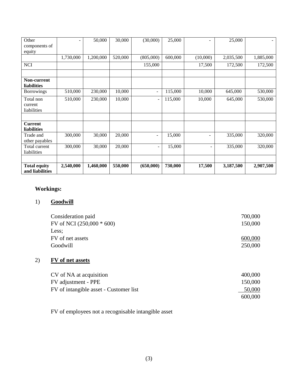| Other                                  | ۰         | 50,000    | 30,000  | (30,000)                 | 25,000  |                          | 25,000    |           |
|----------------------------------------|-----------|-----------|---------|--------------------------|---------|--------------------------|-----------|-----------|
| components of                          |           |           |         |                          |         |                          |           |           |
| equity                                 |           |           |         |                          |         |                          |           |           |
|                                        | 1,730,000 | 1,200,000 | 520,000 | (805,000)                | 600,000 | (10,000)                 | 2,035,500 | 1,885,000 |
| <b>NCI</b>                             |           |           |         | 155,000                  |         | 17,500                   | 172,500   | 172,500   |
|                                        |           |           |         |                          |         |                          |           |           |
| Non-current<br><b>liabilities</b>      |           |           |         |                          |         |                          |           |           |
| <b>Borrowings</b>                      | 510,000   | 230,000   | 10,000  | $\blacksquare$           | 115,000 | 10,000                   | 645,000   | 530,000   |
| Total non<br>current<br>liabilities    | 510,000   | 230,000   | 10,000  | $\overline{\phantom{a}}$ | 115,000 | 10,000                   | 645,000   | 530,000   |
| <b>Current</b><br><b>liabilities</b>   |           |           |         |                          |         |                          |           |           |
| Trade and<br>other payables            | 300,000   | 30,000    | 20,000  | $\blacksquare$           | 15,000  | ۰                        | 335,000   | 320,000   |
| Total current<br>liabilities           | 300,000   | 30,000    | 20,000  | $\overline{\phantom{0}}$ | 15,000  | $\overline{\phantom{a}}$ | 335,000   | 320,000   |
| <b>Total equity</b><br>and liabilities | 2,540,000 | 1,460,000 | 550,000 | (650,000)                | 730,000 | 17,500                   | 3,187,500 | 2,907,500 |

# **Workings:**

# 1) **Goodwill**

| Consideration paid          | 700,000 |
|-----------------------------|---------|
| FV of NCI $(250,000 * 600)$ | 150,000 |
| Less:                       |         |
| FV of net assets            | 600,000 |
| Goodwill                    | 250,000 |

# 2) **FV of net assets**

| CV of NA at acquisition                | 400,000 |
|----------------------------------------|---------|
| FV adjustment - PPE                    | 150,000 |
| FV of intangible asset - Customer list | 50,000  |
|                                        | 600,000 |

FV of employees not a recognisable intangible asset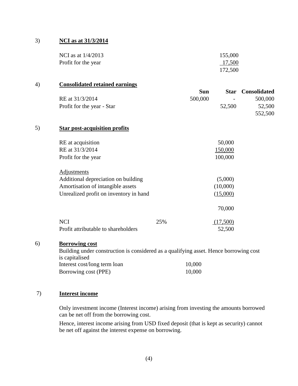#### 3) **NCI as at 31/3/2014**

| NCI as at $1/4/2013$ | 155,000 |
|----------------------|---------|
| Profit for the year  | 17,500  |
|                      | 172,500 |

#### 4) **Consolidated retained earnings**

|                            | Sun     |                          | <b>Star</b> Consolidated |
|----------------------------|---------|--------------------------|--------------------------|
| RE at $31/3/2014$          | 500,000 | $\overline{\phantom{a}}$ | 500,000                  |
| Profit for the year - Star |         | 52,500                   | 52,500                   |
|                            |         |                          | 552,500                  |

#### 5) **Star post-acquisition profits**

| RE at acquisition<br>RE at 31/3/2014<br>Profit for the year                                                                       |     | 50,000<br>150,000<br>100,000    |
|-----------------------------------------------------------------------------------------------------------------------------------|-----|---------------------------------|
| Adjustments<br>Additional depreciation on building<br>Amortisation of intangible assets<br>Unrealized profit on inventory in hand |     | (5,000)<br>(10,000)<br>(15,000) |
|                                                                                                                                   |     | 70,000                          |
| <b>NCI</b><br>Profit attributable to shareholders                                                                                 | 25% | (17,500)<br>52,500              |

#### 6) **Borrowing cost**

Building under construction is considered as a qualifying asset. Hence borrowing cost is capitalised Interest cost/long term loan 10,000 Borrowing cost (PPE) 10,000

#### 7) **Interest income**

Only investment income (Interest income) arising from investing the amounts borrowed can be net off from the borrowing cost.

Hence, interest income arising from USD fixed deposit (that is kept as security) cannot be net off against the interest expense on borrowing.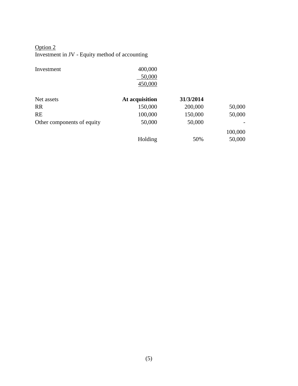### Option 2 Investment in JV - Equity method of accounting

| Investment                 | 400,000        |           |         |
|----------------------------|----------------|-----------|---------|
|                            | 50,000         |           |         |
|                            | 450,000        |           |         |
| Net assets                 | At acquisition | 31/3/2014 |         |
| <b>RR</b>                  | 150,000        | 200,000   | 50,000  |
| <b>RE</b>                  | 100,000        | 150,000   | 50,000  |
| Other components of equity | 50,000         | 50,000    |         |
|                            |                |           | 100,000 |
|                            | Holding        | 50%       | 50,000  |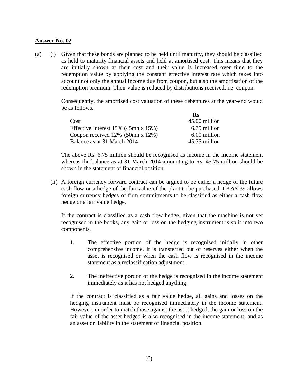(a) (i) Given that these bonds are planned to be held until maturity, they should be classified as held to maturity financial assets and held at amortised cost. This means that they are initially shown at their cost and their value is increased over time to the redemption value by applying the constant effective interest rate which takes into account not only the annual income due from coupon, but also the amortisation of the redemption premium. Their value is reduced by distributions received, i.e. coupon.

> Consequently, the amortised cost valuation of these debentures at the year-end would be as follows.

|                                            | Rs            |
|--------------------------------------------|---------------|
| Cost                                       | 45.00 million |
| Effective Interest $15\%$ (45mn x $15\%$ ) | 6.75 million  |
| Coupon received $12\%$ (50mn x 12%)        | 6.00 million  |
| Balance as at 31 March 2014                | 45.75 million |

The above Rs. 6.75 million should be recognised as income in the income statement whereas the balance as at 31 March 2014 amounting to Rs. 45.75 million should be shown in the statement of financial position.

(ii) A foreign currency forward contract can be argued to be either a hedge of the future cash flow or a hedge of the fair value of the plant to be purchased. LKAS 39 allows foreign currency hedges of firm commitments to be classified as either a cash flow hedge or a fair value hedge.

If the contract is classified as a cash flow hedge, given that the machine is not yet recognised in the books, any gain or loss on the hedging instrument is split into two components.

- 1. The effective portion of the hedge is recognised initially in other comprehensive income. It is transferred out of reserves either when the asset is recognised or when the cash flow is recognised in the income statement as a reclassification adjustment.
- 2. The ineffective portion of the hedge is recognised in the income statement immediately as it has not hedged anything.

If the contract is classified as a fair value hedge, all gains and losses on the hedging instrument must be recognised immediately in the income statement. However, in order to match those against the asset hedged, the gain or loss on the fair value of the asset hedged is also recognised in the income statement, and as an asset or liability in the statement of financial position.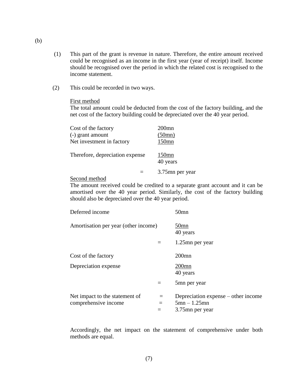- (1) This part of the grant is revenue in nature. Therefore, the entire amount received could be recognised as an income in the first year (year of receipt) itself. Income should be recognised over the period in which the related cost is recognised to the income statement.
- (2) This could be recorded in two ways.

#### First method

The total amount could be deducted from the cost of the factory building, and the net cost of the factory building could be depreciated over the 40 year period.

| Cost of the factory             | $200$ mn             |
|---------------------------------|----------------------|
| (-) grant amount                | (50mn)               |
| Net investment in factory       | $150$ mn             |
| Therefore, depreciation expense | $150$ mn<br>40 years |
|                                 | 3.75mn per year      |

Second method

The amount received could be credited to a separate grant account and it can be amortised over the 40 year period. Similarly, the cost of the factory building should also be depreciated over the 40 year period.

| Deferred income                                        |                   | $50$ mn                                                                  |
|--------------------------------------------------------|-------------------|--------------------------------------------------------------------------|
| Amortisation per year (other income)                   |                   | 50mn<br>40 years                                                         |
|                                                        | $\equiv$          | 1.25mn per year                                                          |
| Cost of the factory                                    |                   | $200$ mn                                                                 |
| Depreciation expense                                   |                   | $200$ mn<br>40 years                                                     |
|                                                        | $=$               | 5mn per year                                                             |
| Net impact to the statement of<br>comprehensive income | $=$<br>$=$<br>$=$ | Depreciation expense – other income<br>$5mn - 1.25mn$<br>3.75mn per year |

Accordingly, the net impact on the statement of comprehensive under both methods are equal.

(b)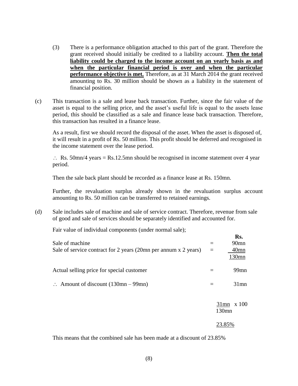- (3) There is a performance obligation attached to this part of the grant. Therefore the grant received should initially be credited to a liability account. **Then the total liability could be charged to the income account on an yearly basis as and when the particular financial period is over and when the particular performance objective is met.** Therefore, as at 31 March 2014 the grant received amounting to Rs. 30 million should be shown as a liability in the statement of financial position.
- (c) This transaction is a sale and lease back transaction. Further, since the fair value of the asset is equal to the selling price, and the asset's useful life is equal to the assets lease period, this should be classified as a sale and finance lease back transaction. Therefore, this transaction has resulted in a finance lease.

As a result, first we should record the disposal of the asset. When the asset is disposed of, it will result in a profit of Rs. 50 million. This profit should be deferred and recognised in the income statement over the lease period.

 $\therefore$  Rs. 50mn/4 years = Rs.12.5mn should be recognised in income statement over 4 year period.

Then the sale back plant should be recorded as a finance lease at Rs. 150mn.

Further, the revaluation surplus already shown in the revaluation surplus account amounting to Rs. 50 million can be transferred to retained earnings.

(d) Sale includes sale of machine and sale of service contract. Therefore, revenue from sale of good and sale of services should be separately identified and accounted for.

Fair value of individual components (under normal sale);

|                                                                 |     | Rs.                    |
|-----------------------------------------------------------------|-----|------------------------|
| Sale of machine                                                 |     | 90 <sub>mn</sub>       |
| Sale of service contract for 2 years (20mn per annum x 2 years) | $=$ | $40$ mn                |
|                                                                 |     | 130mn                  |
| Actual selling price for special customer                       |     | $99$ mn                |
| $\therefore$ Amount of discount (130mn – 99mn)                  |     | $31$ mn                |
|                                                                 |     |                        |
|                                                                 |     | $31$ mn x 100<br>130mn |
|                                                                 |     |                        |
|                                                                 |     | 23.85%                 |

This means that the combined sale has been made at a discount of 23.85%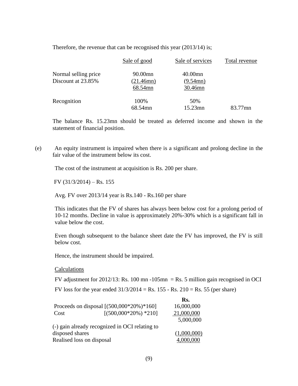|                                            | Sale of good                    | Sale of services                  | Total revenue |
|--------------------------------------------|---------------------------------|-----------------------------------|---------------|
| Normal selling price<br>Discount at 23.85% | 90.00mn<br>(21.46mn)<br>68.54mn | $40.00$ mn<br>(9.54mn)<br>30.46mn |               |
| Recognition                                | 100%<br>68.54mn                 | 50%<br>15.23mn                    | 83.77mn       |

Therefore, the revenue that can be recognised this year (2013/14) is;

The balance Rs. 15.23mn should be treated as deferred income and shown in the statement of financial position.

(e) An equity instrument is impaired when there is a significant and prolong decline in the fair value of the instrument below its cost.

The cost of the instrument at acquisition is Rs. 200 per share.

FV  $(31/3/2014)$  – Rs. 155

Avg. FV over 2013/14 year is Rs.140 - Rs.160 per share

This indicates that the FV of shares has always been below cost for a prolong period of 10-12 months. Decline in value is approximately 20%-30% which is a significant fall in value below the cost.

Even though subsequent to the balance sheet date the FV has improved, the FV is still below cost.

Hence, the instrument should be impaired.

**Calculations** 

FV adjustment for  $2012/13$ : Rs. 100 mn -105mn = Rs. 5 million gain recognised in OCI

FV loss for the year ended  $31/3/2014 = \text{Rs}$ . 155 - Rs. 210 = Rs. 55 (per share)

|                           |                                                | Rs.         |
|---------------------------|------------------------------------------------|-------------|
|                           | Proceeds on disposal $[(500,000*20\%)*160]$    | 16,000,000  |
| Cost                      | $[(500,000*20\%) *210]$                        | 21,000,000  |
|                           |                                                | 5,000,000   |
|                           | (-) gain already recognized in OCI relating to |             |
| disposed shares           |                                                | (1,000,000) |
| Realised loss on disposal |                                                |             |
|                           |                                                |             |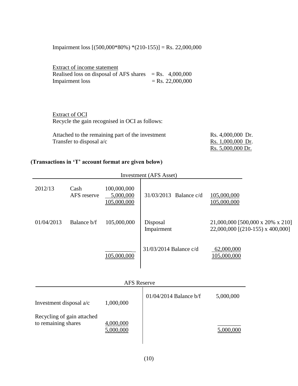Impairment loss [(500,000\*80%) \*(210-155)] = Rs. 22,000,000

| Extract of income statement                               |                    |
|-----------------------------------------------------------|--------------------|
| Realised loss on disposal of AFS shares $=$ Rs. 4,000,000 |                    |
| Impairment loss                                           | $=$ Rs. 22,000,000 |

Extract of OCI Recycle the gain recognised in OCI as follows:

| Attached to the remaining part of the investment | Rs. 4,000,000 Dr. |
|--------------------------------------------------|-------------------|
| Transfer to disposal $a/c$                       | Rs. 1,000,000 Dr. |
|                                                  | Rs. 5,000,000 Dr. |

# **(Transactions in 'T' account format are given below)**

|                                                   |                     |                                         | <b>Investment</b> (AFS Asset) |                                                                      |
|---------------------------------------------------|---------------------|-----------------------------------------|-------------------------------|----------------------------------------------------------------------|
| 2012/13                                           | Cash<br>AFS reserve | 100,000,000<br>5,000,000<br>105,000,000 | 31/03/2013 Balance c/d        | 105,000,000<br>105,000,000                                           |
| 01/04/2013                                        | Balance b/f         | 105,000,000                             | Disposal<br>Impairment        | 21,000,000 [500,000 x 20% x 210]<br>22,000,000 [(210-155) x 400,000] |
|                                                   |                     | 105,000,000                             | 31/03/2014 Balance c/d        | 62,000,000<br>105,000,000                                            |
|                                                   |                     | <b>AFS Reserve</b>                      |                               |                                                                      |
| Investment disposal a/c<br>1,000,000              |                     | $01/04/2014$ Balance b/f                | 5,000,000                     |                                                                      |
| Recycling of gain attached<br>to remaining shares |                     | 4,000,000<br>5,000,000                  |                               | 5,000,000                                                            |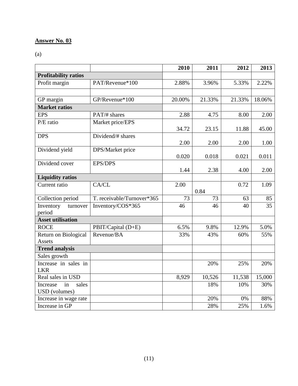(a)

|                             |                            | 2010   | 2011   | 2012   | 2013   |
|-----------------------------|----------------------------|--------|--------|--------|--------|
| <b>Profitability ratios</b> |                            |        |        |        |        |
| Profit margin               | PAT/Revenue*100            | 2.88%  | 3.96%  | 5.33%  | 2.22%  |
|                             |                            |        |        |        |        |
| GP margin                   | GP/Revenue*100             | 20.00% | 21.33% | 21.33% | 18.06% |
| <b>Market ratios</b>        |                            |        |        |        |        |
| <b>EPS</b>                  | PAT/# shares               | 2.88   | 4.75   | 8.00   | 2.00   |
| P/E ratio                   | Market price/EPS           |        |        |        |        |
|                             |                            | 34.72  | 23.15  | 11.88  | 45.00  |
| <b>DPS</b>                  | Dividend/# shares          |        |        |        |        |
|                             |                            | 2.00   | 2.00   | 2.00   | 1.00   |
| Dividend yield              | DPS/Market price           |        |        |        |        |
|                             |                            | 0.020  | 0.018  | 0.021  | 0.011  |
| Dividend cover              | <b>EPS/DPS</b>             | 1.44   | 2.38   |        | 2.00   |
| <b>Liquidity ratios</b>     |                            |        |        | 4.00   |        |
| Current ratio               | CA/CL                      | 2.00   |        | 0.72   | 1.09   |
|                             |                            |        | 0.84   |        |        |
| Collection period           | T. receivable/Turnover*365 | 73     | 73     | 63     | 85     |
| Inventory<br>turnover       | Inventory/COS*365          | 46     | 46     | 40     | 35     |
| period                      |                            |        |        |        |        |
| <b>Asset utilisation</b>    |                            |        |        |        |        |
| <b>ROCE</b>                 | PBIT/Capital (D+E)         | 6.5%   | 9.8%   | 12.9%  | 5.0%   |
| Return on Biological        | Revenue/BA                 | 33%    | 43%    | 60%    | 55%    |
| <b>Assets</b>               |                            |        |        |        |        |
| <b>Trend analysis</b>       |                            |        |        |        |        |
| Sales growth                |                            |        |        |        |        |
| Increase in sales in        |                            |        | 20%    | 25%    | 20%    |
| <b>LKR</b>                  |                            |        |        |        |        |
| Real sales in USD           |                            | 8,929  | 10,526 | 11,538 | 15,000 |
| in<br>sales<br>Increase     |                            |        | 18%    | 10%    | 30%    |
| USD (volumes)               |                            |        |        |        |        |
| Increase in wage rate       |                            |        | 20%    | 0%     | 88%    |
| Increase in GP              |                            |        | 28%    | 25%    | 1.6%   |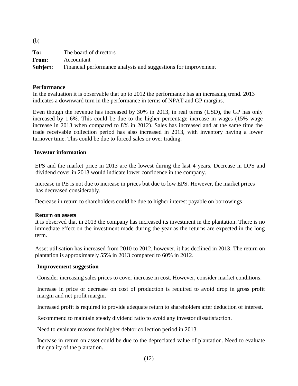| $\sqrt{2}$ |                                                                |
|------------|----------------------------------------------------------------|
| To:        | The board of directors                                         |
| From:      | Accountant                                                     |
| Subject:   | Financial performance analysis and suggestions for improvement |

#### **Performance**

 $(h)$ 

In the evaluation it is observable that up to 2012 the performance has an increasing trend. 2013 indicates a downward turn in the performance in terms of NPAT and GP margins.

Even though the revenue has increased by 30% in 2013, in real terms (USD), the GP has only increased by 1.6%. This could be due to the higher percentage increase in wages (15% wage increase in 2013 when compared to 8% in 2012). Sales has increased and at the same time the trade receivable collection period has also increased in 2013, with inventory having a lower turnover time. This could be due to forced sales or over trading.

#### **Investor information**

EPS and the market price in 2013 are the lowest during the last 4 years. Decrease in DPS and dividend cover in 2013 would indicate lower confidence in the company.

Increase in PE is not due to increase in prices but due to low EPS. However, the market prices has decreased considerably.

Decrease in return to shareholders could be due to higher interest payable on borrowings

#### **Return on assets**

It is observed that in 2013 the company has increased its investment in the plantation. There is no immediate effect on the investment made during the year as the returns are expected in the long term.

Asset utilisation has increased from 2010 to 2012, however, it has declined in 2013. The return on plantation is approximately 55% in 2013 compared to 60% in 2012.

#### **Improvement suggestion**

Consider increasing sales prices to cover increase in cost. However, consider market conditions.

Increase in price or decrease on cost of production is required to avoid drop in gross profit margin and net profit margin.

Increased profit is required to provide adequate return to shareholders after deduction of interest.

Recommend to maintain steady dividend ratio to avoid any investor dissatisfaction.

Need to evaluate reasons for higher debtor collection period in 2013.

Increase in return on asset could be due to the depreciated value of plantation. Need to evaluate the quality of the plantation.

(12)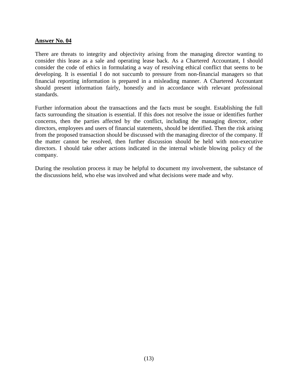There are threats to integrity and objectivity arising from the managing director wanting to consider this lease as a sale and operating lease back. As a Chartered Accountant, I should consider the code of ethics in formulating a way of resolving ethical conflict that seems to be developing. It is essential I do not succumb to pressure from non-financial managers so that financial reporting information is prepared in a misleading manner. A Chartered Accountant should present information fairly, honestly and in accordance with relevant professional standards.

Further information about the transactions and the facts must be sought. Establishing the full facts surrounding the situation is essential. If this does not resolve the issue or identifies further concerns, then the parties affected by the conflict, including the managing director, other directors, employees and users of financial statements, should be identified. Then the risk arising from the proposed transaction should be discussed with the managing director of the company. If the matter cannot be resolved, then further discussion should be held with non-executive directors. I should take other actions indicated in the internal whistle blowing policy of the company.

During the resolution process it may be helpful to document my involvement, the substance of the discussions held, who else was involved and what decisions were made and why.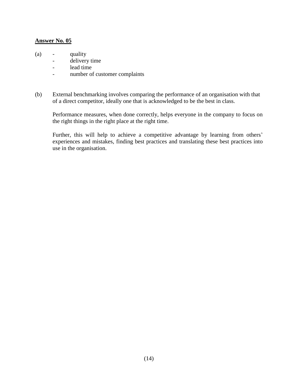- (a) quality
	- delivery time
	- lead time
	- number of customer complaints
- (b) External benchmarking involves comparing the performance of an organisation with that of a direct competitor, ideally one that is acknowledged to be the best in class.

Performance measures, when done correctly, helps everyone in the company to focus on the right things in the right place at the right time.

Further, this will help to achieve a competitive advantage by learning from others' experiences and mistakes, finding best practices and translating these best practices into use in the organisation.